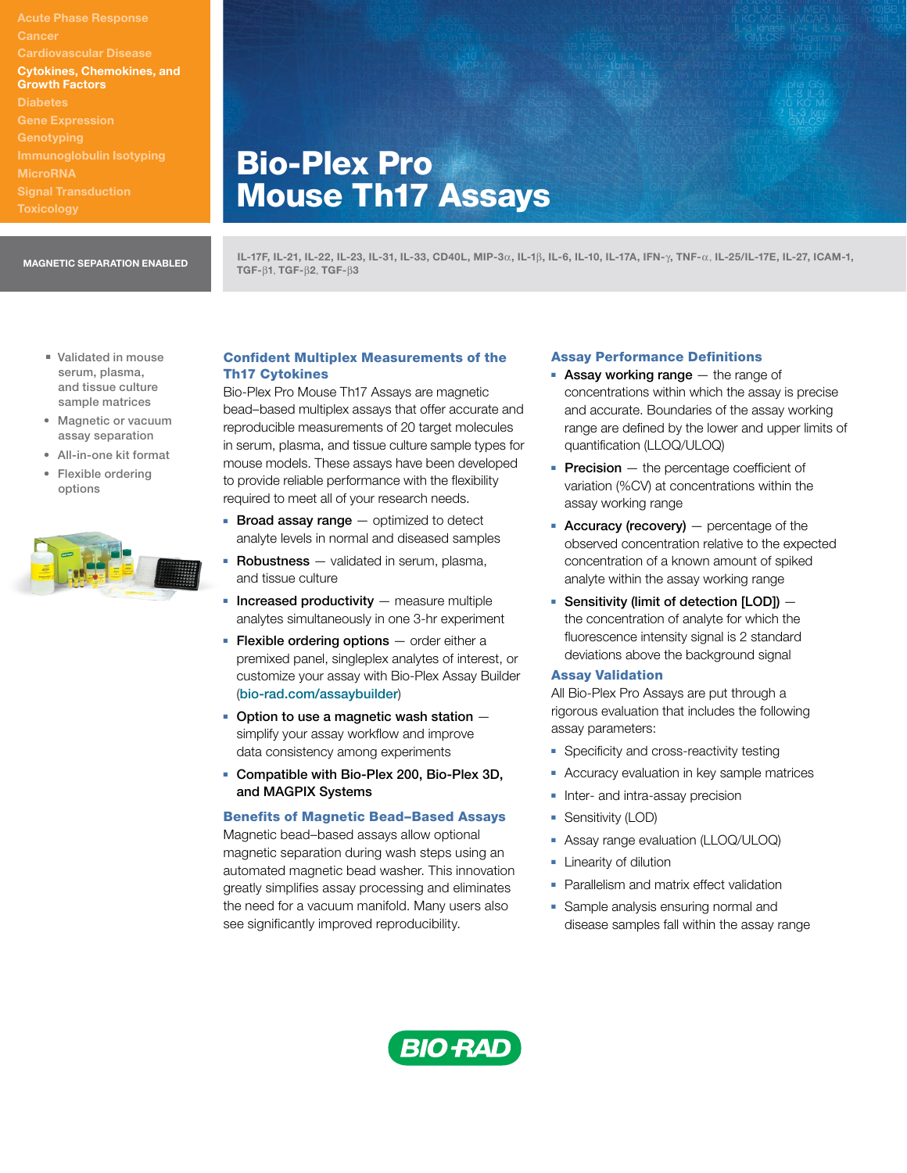**Cancer** Cardiovascular Disease Cytokines, Chemokines, and Growth Factors **Diabetes** Gene Expression **MicroRNA** 

# Bio-Plex Pro Mouse Th17 Assays

IL-17F, IL-21, IL-22, IL-23, IL-31, IL-33, CD40L, MIP-3a, IL-1b, IL-6, IL-10, IL-17A, IFN-g, TNF-a, IL-25/IL-17E, IL-27, ICAM-1, MAGNETIC SEPARATION ENABLED<br>TGF- $\beta$ 1, TGF- $\beta$ 2, TGF- $\beta$ 3

- Validated in mouse serum, plasma, and tissue culture sample matrices
- Magnetic or vacuum assay separation
- All-in-one kit format
- Flexible ordering options



# Confident Multiplex Measurements of the Th17 Cytokines

Bio-Plex Pro Mouse Th17 Assays are magnetic bead–based multiplex assays that offer accurate and reproducible measurements of 20 target molecules in serum, plasma, and tissue culture sample types for mouse models. These assays have been developed to provide reliable performance with the flexibility required to meet all of your research needs.

- **Broad assay range**  $-$  optimized to detect analyte levels in normal and diseased samples
- $\blacksquare$  Robustness  $-$  validated in serum, plasma, and tissue culture
- $\blacksquare$  Increased productivity measure multiple analytes simultaneously in one 3-hr experiment
- **Flexible ordering options**  $-$  order either a premixed panel, singleplex analytes of interest, or customize your assay with Bio-Plex Assay Builder ([bio-rad.com/assaybuilder](http://bio-rad.com/assaybuilder))
- $\blacksquare$  Option to use a magnetic wash station  $\blacksquare$ simplify your assay workflow and improve data consistency among experiments
- <sup>n</sup> Compatible with Bio-Plex 200, Bio-Plex 3D, and MAGPIX Systems

### Benefits of Magnetic Bead–Based Assays

Magnetic bead–based assays allow optional magnetic separation during wash steps using an automated magnetic bead washer. This innovation greatly simplifies assay processing and eliminates the need for a vacuum manifold. Many users also see significantly improved reproducibility.

### Assay Performance Definitions

- Assay working range  $-$  the range of concentrations within which the assay is precise and accurate. Boundaries of the assay working range are defined by the lower and upper limits of quantification (LLOQ/ULOQ)
- **Precision**  $-$  the percentage coefficient of variation (%CV) at concentrations within the assay working range
- **Accuracy (recovery)**  $-$  percentage of the observed concentration relative to the expected concentration of a known amount of spiked analyte within the assay working range
- **Sensitivity (limit of detection [LOD])**  $$ the concentration of analyte for which the fluorescence intensity signal is 2 standard deviations above the background signal

#### Assay Validation

All Bio-Plex Pro Assays are put through a rigorous evaluation that includes the following assay parameters:

- **B** Specificity and cross-reactivity testing
- **Accuracy evaluation in key sample matrices**
- **n** Inter- and intra-assay precision
- **Bulleright (LOD)**
- **Assay range evaluation (LLOQ/ULOQ)**
- **E** Linearity of dilution
- Parallelism and matrix effect validation
- Sample analysis ensuring normal and disease samples fall within the assay range

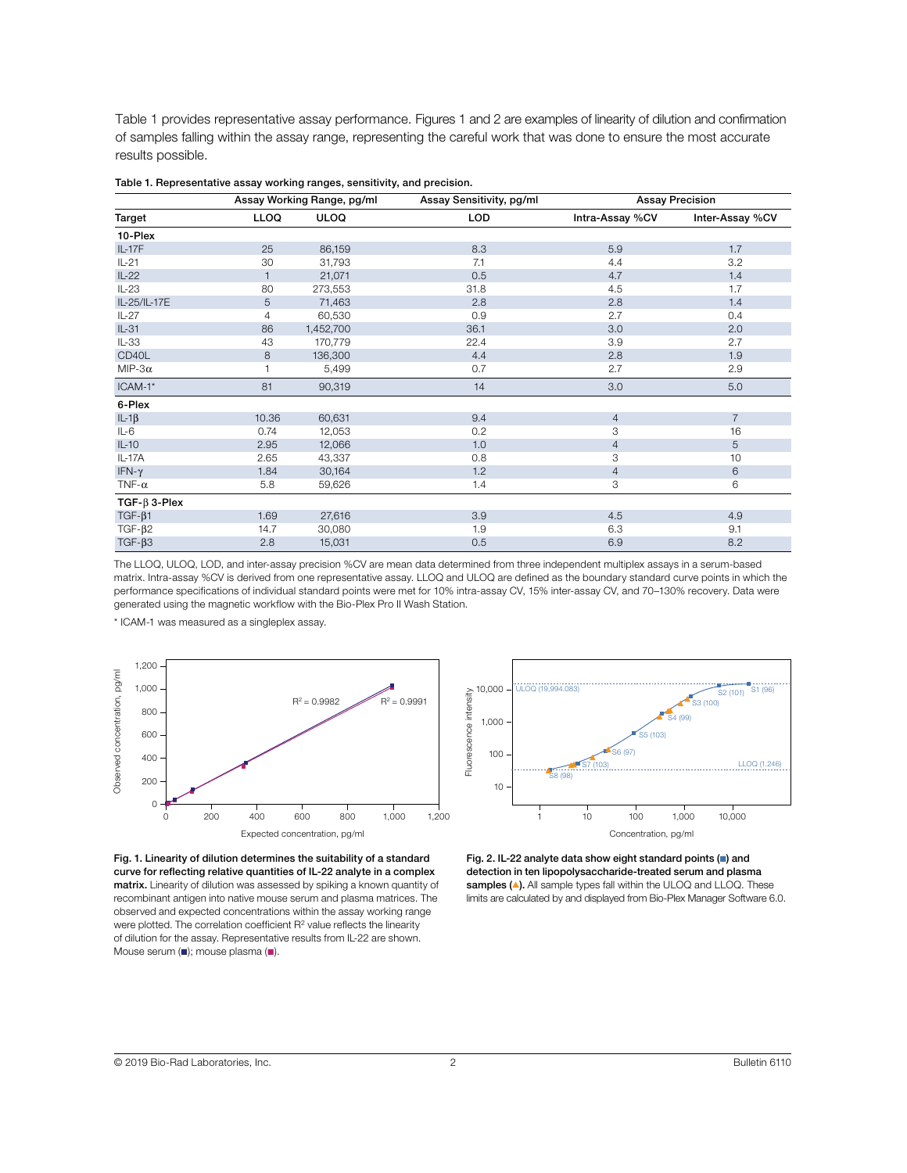Table 1 provides representative assay performance. Figures 1 and 2 are examples of linearity of dilution and confirmation of samples falling within the assay range, representing the careful work that was done to ensure the most accurate results possible.

|                     | Assay Working Range, pg/ml |             | Assay Sensitivity, pg/ml | <b>Assay Precision</b> |                 |
|---------------------|----------------------------|-------------|--------------------------|------------------------|-----------------|
| Target              | <b>LLOQ</b>                | <b>ULOQ</b> | LOD                      | Intra-Assay %CV        | Inter-Assay %CV |
| 10-Plex             |                            |             |                          |                        |                 |
| $IL-17F$            | 25                         | 86,159      | 8.3                      | 5.9                    | 1.7             |
| $IL-21$             | 30                         | 31,793      | 7.1                      | 4.4                    | 3.2             |
| $IL-22$             | $\mathbf{1}$               | 21,071      | 0.5                      | 4.7                    | 1.4             |
| $IL-23$             | 80                         | 273,553     | 31.8                     | 4.5                    | 1.7             |
| IL-25/IL-17E        | 5                          | 71,463      | 2.8                      | 2.8                    | 1.4             |
| $IL-27$             | $\overline{4}$             | 60,530      | 0.9                      | 2.7                    | 0.4             |
| $IL-31$             | 86                         | 1,452,700   | 36.1                     | 3.0                    | 2.0             |
| $IL-33$             | 43                         | 170,779     | 22.4                     | 3.9                    | 2.7             |
| CD40L               | 8                          | 136,300     | 4.4                      | 2.8                    | 1.9             |
| MIP-3 $\alpha$      |                            | 5,499       | 0.7                      | 2.7                    | 2.9             |
| ICAM-1*             | 81                         | 90,319      | 14                       | 3.0                    | 5.0             |
| 6-Plex              |                            |             |                          |                        |                 |
| $IL-1\beta$         | 10.36                      | 60,631      | 9.4                      | 4                      | $\overline{7}$  |
| $IL-6$              | 0.74                       | 12,053      | 0.2                      | 3                      | 16              |
| $IL-10$             | 2.95                       | 12,066      | 1.0                      | $\overline{4}$         | 5               |
| IL-17A              | 2.65                       | 43,337      | 0.8                      | 3                      | 10              |
| IFN- $\gamma$       | 1.84                       | 30,164      | 1.2                      | $\overline{4}$         | 6               |
| TNF- $\alpha$       | 5.8                        | 59,626      | 1.4                      | 3                      | 6               |
| TGF- $\beta$ 3-Plex |                            |             |                          |                        |                 |
| $TGF-B1$            | 1.69                       | 27,616      | 3.9                      | 4.5                    | 4.9             |
| $TGF-\beta2$        | 14.7                       | 30,080      | 1.9                      | 6.3                    | 9.1             |
| $TGF-\beta3$        | 2.8                        | 15,031      | 0.5                      | 6.9                    | 8.2             |

Table 1. Representative assay working ranges, sensitivity, and precision.

The LLOQ, ULOQ, LOD, and inter-assay precision %CV are mean data determined from three independent multiplex assays in a serum-based matrix. Intra-assay %CV is derived from one representative assay. LLOQ and ULOQ are defined as the boundary standard curve points in which the performance specifications of individual standard points were met for 10% intra-assay CV, 15% inter-assay CV, and 70–130% recovery. Data were generated using the magnetic workflow with the Bio-Plex Pro II Wash Station.

\* ICAM-1 was measured as a singleplex assay.





Fig. 1. Linearity of dilution determines the suitability of a standard curve for reflecting relative quantities of IL-22 analyte in a complex matrix. Linearity of dilution was assessed by spiking a known quantity of recombinant antigen into native mouse serum and plasma matrices. The observed and expected concentrations within the assay working range were plotted. The correlation coefficient R<sup>2</sup> value reflects the linearity of dilution for the assay. Representative results from IL-22 are shown. Mouse serum  $(\blacksquare)$ ; mouse plasma  $(\blacksquare)$ .

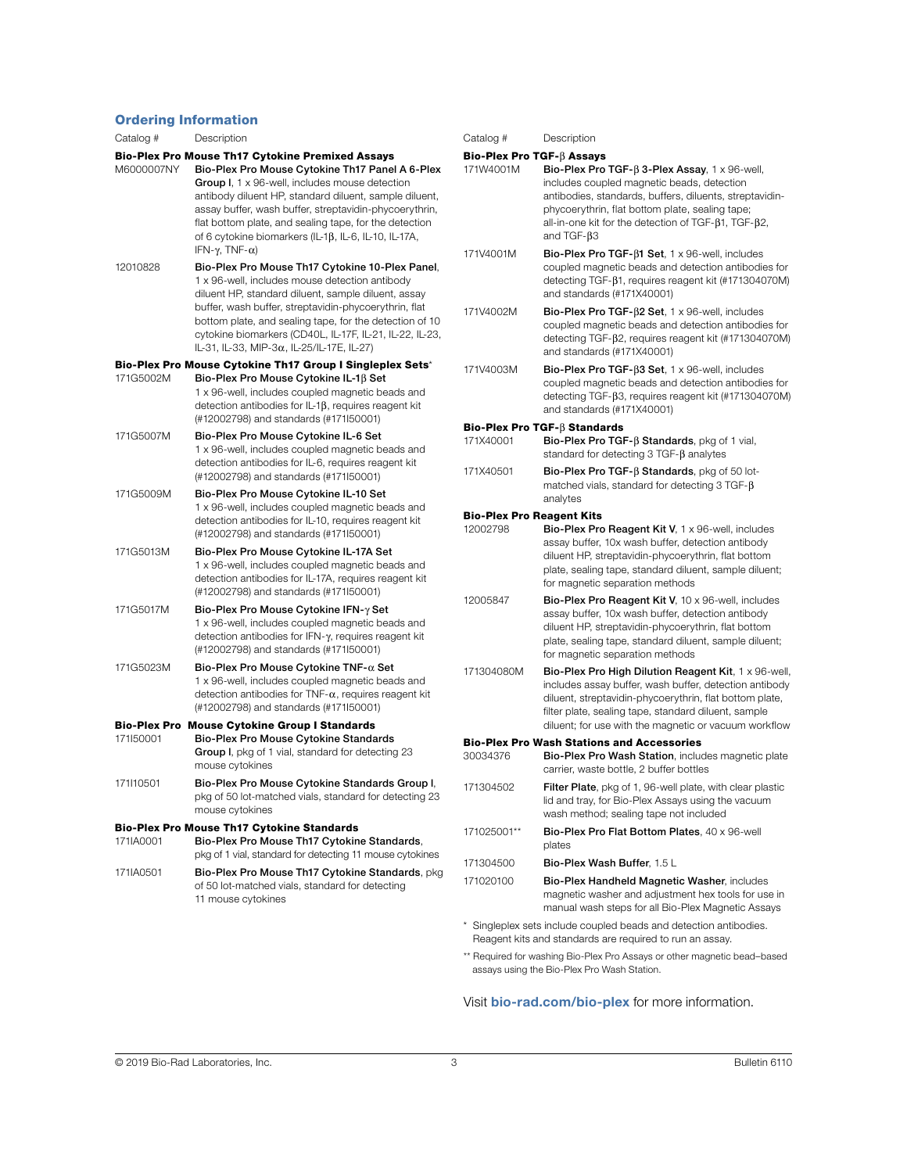#### Ordering Information

| Catalog #                                                 | Description                                                                                                                                                                                                                                                                                                                                                                                                                                    |  |  |  |
|-----------------------------------------------------------|------------------------------------------------------------------------------------------------------------------------------------------------------------------------------------------------------------------------------------------------------------------------------------------------------------------------------------------------------------------------------------------------------------------------------------------------|--|--|--|
| M6000007NY                                                | <b>Bio-Plex Pro Mouse Th17 Cytokine Premixed Assays</b><br>Bio-Plex Pro Mouse Cytokine Th17 Panel A 6-Plex<br>Group I, 1 x 96-well, includes mouse detection<br>antibody diluent HP, standard diluent, sample diluent,<br>assay buffer, wash buffer, streptavidin-phycoerythrin,<br>flat bottom plate, and sealing tape, for the detection<br>of 6 cytokine biomarkers (IL-1 $\beta$ , IL-6, IL-10, IL-17A,<br>IFN- $\gamma$ , TNF- $\alpha$ ) |  |  |  |
| 12010828                                                  | Bio-Plex Pro Mouse Th17 Cytokine 10-Plex Panel,<br>1 x 96-well, includes mouse detection antibody<br>diluent HP, standard diluent, sample diluent, assay<br>buffer, wash buffer, streptavidin-phycoerythrin, flat<br>bottom plate, and sealing tape, for the detection of 10<br>cytokine biomarkers (CD40L, IL-17F, IL-21, IL-22, IL-23,<br>IL-31, IL-33, MIP-3α, IL-25/IL-17E, IL-27)                                                         |  |  |  |
| Bio-Plex Pro Mouse Cytokine Th17 Group I Singleplex Sets* |                                                                                                                                                                                                                                                                                                                                                                                                                                                |  |  |  |
| 171G5002M                                                 | Bio-Plex Pro Mouse Cytokine IL-16 Set<br>1 x 96-well, includes coupled magnetic beads and<br>detection antibodies for IL-1 $\beta$ , requires reagent kit<br>(#12002798) and standards (#17150001)                                                                                                                                                                                                                                             |  |  |  |
| 171G5007M                                                 | Bio-Plex Pro Mouse Cytokine IL-6 Set<br>1 x 96-well, includes coupled magnetic beads and<br>detection antibodies for IL-6, requires reagent kit<br>(#12002798) and standards (#171l50001)                                                                                                                                                                                                                                                      |  |  |  |
| 171G5009M                                                 | Bio-Plex Pro Mouse Cytokine IL-10 Set<br>1 x 96-well, includes coupled magnetic beads and<br>detection antibodies for IL-10, requires reagent kit<br>(#12002798) and standards (#171I50001)                                                                                                                                                                                                                                                    |  |  |  |
| 171G5013M                                                 | Bio-Plex Pro Mouse Cytokine IL-17A Set<br>1 x 96-well, includes coupled magnetic beads and<br>detection antibodies for IL-17A, requires reagent kit<br>(#12002798) and standards (#171150001)                                                                                                                                                                                                                                                  |  |  |  |
| 171G5017M                                                 | Bio-Plex Pro Mouse Cytokine IFN-γ Set<br>1 x 96-well, includes coupled magnetic beads and<br>detection antibodies for IFN-y, requires reagent kit<br>(#12002798) and standards (#171l50001)                                                                                                                                                                                                                                                    |  |  |  |
| 171G5023M                                                 | Bio-Plex Pro Mouse Cytokine TNF- $\alpha$ Set<br>1 x 96-well, includes coupled magnetic beads and<br>detection antibodies for TNF- $\alpha$ , requires reagent kit<br>(#12002798) and standards (#171150001)                                                                                                                                                                                                                                   |  |  |  |
| Bio-Plex Pro<br>171l50001                                 | <b>Mouse Cytokine Group I Standards</b><br>Bio-Plex Pro Mouse Cytokine Standards<br>Group I, pkg of 1 vial, standard for detecting 23<br>mouse cytokines                                                                                                                                                                                                                                                                                       |  |  |  |
| 171110501                                                 | Bio-Plex Pro Mouse Cytokine Standards Group I,<br>pkg of 50 lot-matched vials, standard for detecting 23<br>mouse cytokines                                                                                                                                                                                                                                                                                                                    |  |  |  |
| 171IA0001                                                 | <b>Bio-Plex Pro Mouse Th17 Cytokine Standards</b><br>Bio-Plex Pro Mouse Th17 Cytokine Standards,<br>pkg of 1 vial, standard for detecting 11 mouse cytokines                                                                                                                                                                                                                                                                                   |  |  |  |
| 171IA0501                                                 | Bio-Plex Pro Mouse Th17 Cytokine Standards, pkg<br>of 50 lot-matched vials, standard for detecting<br>11 mouse cytokines                                                                                                                                                                                                                                                                                                                       |  |  |  |

includes coupled magnetic beads, detection antibodies, standards, buffers, diluents, streptavidinphycoerythrin, flat bottom plate, sealing tape; all-in-one kit for the detection of  $TGF-B1$ ,  $TGF-B2$ , and TGF- $\beta$ 3 171V4001M Bio-Plex Pro TGF-β1 Set, 1 x 96-well, includes coupled magnetic beads and detection antibodies for detecting TGF-β1, requires reagent kit (#171304070M) and standards (#171X40001) 171V4002M Bio-Plex Pro TGF-β2 Set, 1 x 96-well, includes coupled magnetic beads and detection antibodies for detecting TGF-β2, requires reagent kit (#171304070M) and standards (#171X40001) 171V4003M Bio-Plex Pro TGF- $\beta$ 3 Set, 1 x 96-well, includes coupled magnetic beads and detection antibodies for detecting TGF-β3, requires reagent kit (#171304070M) and standards (#171X40001) Bio-Plex Pro TGF-B Standards 171X40001 Bio-Plex Pro TGF- $\beta$  Standards, pkg of 1 vial, standard for detecting  $3$  TGF- $\beta$  analytes 171X40501 Bio-Plex Pro TGF- $\beta$  Standards, pkg of 50 lotmatched vials, standard for detecting 3 TGF- $\beta$ analytes Bio-Plex Pro Reagent Kits 12002798 Bio-Plex Pro Reagent Kit V, 1 x 96-well, includes assay buffer, 10x wash buffer, detection antibody diluent HP, streptavidin-phycoerythrin, flat bottom plate, sealing tape, standard diluent, sample diluent; for magnetic separation methods 12005847 Bio-Plex Pro Reagent Kit V, 10 x 96-well, includes assay buffer, 10x wash buffer, detection antibody diluent HP, streptavidin-phycoerythrin, flat bottom plate, sealing tape, standard diluent, sample diluent; for magnetic separation methods 171304080M Bio-Plex Pro High Dilution Reagent Kit, 1 x 96-well, includes assay buffer, wash buffer, detection antibody diluent, streptavidin-phycoerythrin, flat bottom plate, filter plate, sealing tape, standard diluent, sample diluent; for use with the magnetic or vacuum workflow **Bio-Plex Pro Wash Stations and Accessories**<br>30034376 **Bio-Plex Pro Wash Station include** Bio-Plex Pro Wash Station, includes magnetic plate carrier, waste bottle, 2 buffer bottles 171304502 Filter Plate, pkg of 1, 96-well plate, with clear plastic lid and tray, for Bio-Plex Assays using the vacuum wash method; sealing tape not included 171025001\*\* Bio-Plex Pro Flat Bottom Plates, 40 x 96-well plates 171304500 Bio-Plex Wash Buffer, 1.5 L 171020100 Bio-Plex Handheld Magnetic Washer, includes magnetic washer and adjustment hex tools for use in manual wash steps for all Bio-Plex Magnetic Assays

171W4001M Bio-Plex Pro TGF- $\beta$  3-Plex Assay, 1 x 96-well,

Catalog # Description Bio-Plex Pro TGF- $\beta$  Assays

\* Singleplex sets include coupled beads and detection antibodies. Reagent kits and standards are required to run an assay.

\*\* Required for washing Bio-Plex Pro Assays or other magnetic bead–based assays using the Bio-Plex Pro Wash Station.

# Visit [bio-rad.com/bio-plex](http://bio-rad.com/bio-plex) for more information.